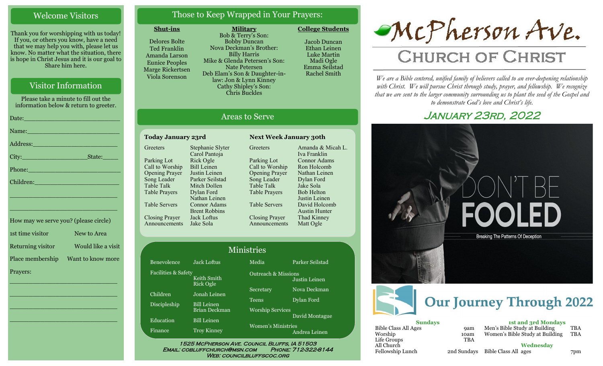### Welcome Visitors

Thank you for worshipping with us today! If you, or others you know, have a need that we may help you with, please let us know. No matter what the situation, there is hope in Christ Jesus and it is our goal to Share him here.

### Visitor Information

Please take a minute to fill out the information below & return to greeter.

| Name: Name and the second contract of the second contract of the second contract of the second contract of the                                                                                                                 |
|--------------------------------------------------------------------------------------------------------------------------------------------------------------------------------------------------------------------------------|
| Address: New York Street, New York Street, New York Street, New York Street, New York Street, New York Street,                                                                                                                 |
| State:                                                                                                                                                                                                                         |
| Phone: New York Changes and The Changes of the Changes of the Changes of the Changes of the Changes of the Changes of the Changes of the Changes of the Changes of the Changes of the Changes of the Changes of the Changes of |
| Children: New York Children                                                                                                                                                                                                    |
| <u> 1989 - Johann John Stone, markin film yn y brenin y brenin y brenin y brenin y brenin y brenin y brenin y br</u>                                                                                                           |
|                                                                                                                                                                                                                                |

| How may we serve you? (please circle) |                    |
|---------------------------------------|--------------------|
| 1st time visitor                      | New to Area        |
| Returning visitor                     | Would like a visit |
| Place membership                      | Want to know more  |
| Prayers:                              |                    |

\_\_\_\_\_\_\_\_\_\_\_\_\_\_\_\_\_\_\_\_\_\_\_\_\_\_\_\_

\_\_\_\_\_\_\_\_\_\_\_\_\_\_\_\_\_\_\_\_\_\_\_\_\_\_\_\_

\_\_\_\_\_\_\_\_\_\_\_\_\_\_\_\_\_\_\_\_\_\_\_\_\_\_\_\_

\_\_\_\_\_\_\_\_\_\_\_\_\_\_\_\_\_\_\_\_\_\_\_\_\_\_\_\_

\_\_\_\_\_\_\_\_\_\_\_\_\_\_\_\_\_\_\_\_\_\_\_\_\_\_\_\_

### Those to Keep Wrapped in Your Prayers:

#### **Shut-ins**

Delores Bolte Ted Franklin Amanda Larson Eunice Peoples Marge Rickertsen Viola Sorenson

**Military** Bob & Terry's Son: Bobby Duncan Nova Deckman's Brother: Billy Harris Mike & Glenda Petersen's Son: Nate Petersen Deb Elam's Son & Daughter-inlaw: Jon & Lynn Kinney Cathy Shipley's Son: Chris Buckles

**College Students**  Jacob Duncan Ethan Leinen

Luke Martin Madi Ogle Emma Seilstad Rachel Smith

### Areas to Serve

#### **Today January 23rd Next Week January 30th Greeters** Parking Lot Call to Worship Opening Prayer Song Leader Table Talk Table Prayers Table Servers Closing Prayer Announcements Jake Sola Stephanie Slyter Carol Pantoja Rick Ogle Bill Leinen Justin Leinen Parker Seilstad Mitch Dollen Dylan Ford Nathan Leinen Connor Adams Brent Robbins Jack Loftus

Fac

**Greeters** Parking Lot Call to Worship Opening Prayer Song Leader Table Talk Table Prayers Table Servers Closing Prayer Announcements Amanda & Micah L. Iva Franklin Connor Adams Ron Holcomb Nathan Leinen Dylan Ford Jake Sola Bob Helton Justin Leinen David Holcomb Austin Hunter Thad Kinney Matt Ogle

|                     |                                 | <b>Ministries</b>              |                 |
|---------------------|---------------------------------|--------------------------------|-----------------|
| Benevolence         | <b>Jack Loftus</b>              | Media                          | Parker Seilstad |
| Facilities & Safety | Keith Smith<br><b>Rick Ogle</b> | <b>Outreach &amp; Missions</b> | Justin Leinen   |
| Children            | Jonah Leinen                    | Secretary                      | Nova Deckman    |
| <b>Discipleship</b> | <b>Bill Leinen</b>              | <b>Teens</b>                   | Dylan Ford      |
|                     | Brian Deckman                   | <b>Worship Services</b>        |                 |
| Education           | <b>Bill Leinen</b>              |                                | David Montague  |
| Finance             | <b>Troy Kinney</b>              | Women's Ministries             | Andrea Leinen   |

WEB: COUNCILBLUFFSCOC.ORG



# **CHURCH OF CHRIST**

*We are a Bible centered, unified family of believers called to an ever-deepening relationship*  with Christ. We will pursue Christ through study, prayer, and fellowship. We recognize *that we are sent to the larger community surrounding us to plant the seed of the Gospel and to demonstrate God's love and Christ's life.*

### January 23rd, 2022



**Wednesday**

Fellowship Lunch 2nd Sundays Bible Class All ages 7pm

All Church